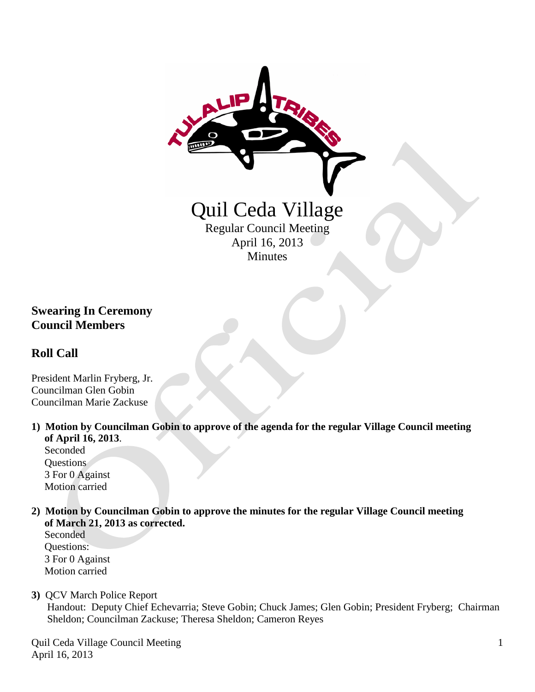

## **Swearing In Ceremony Council Members**

## **Roll Call**

President Marlin Fryberg, Jr. Councilman Glen Gobin Councilman Marie Zackuse

**1) Motion by Councilman Gobin to approve of the agenda for the regular Village Council meeting of April 16, 2013**.

 Seconded Questions 3 For 0 Against Motion carried

**2) Motion by Councilman Gobin to approve the minutes for the regular Village Council meeting of March 21, 2013 as corrected.**

Seconded Questions: 3 For 0 Against Motion carried

**3)** QCV March Police Report

 Handout: Deputy Chief Echevarria; Steve Gobin; Chuck James; Glen Gobin; President Fryberg; Chairman Sheldon; Councilman Zackuse; Theresa Sheldon; Cameron Reyes

Quil Ceda Village Council Meeting April 16, 2013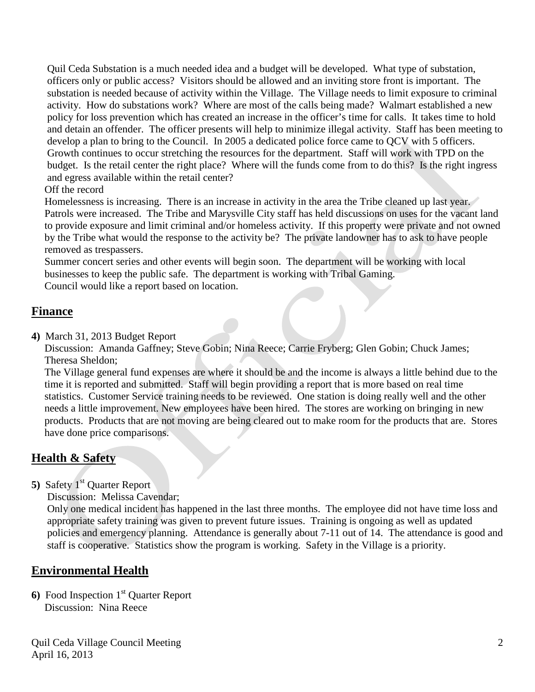Quil Ceda Substation is a much needed idea and a budget will be developed. What type of substation, officers only or public access? Visitors should be allowed and an inviting store front is important. The substation is needed because of activity within the Village. The Village needs to limit exposure to criminal activity. How do substations work? Where are most of the calls being made? Walmart established a new policy for loss prevention which has created an increase in the officer's time for calls. It takes time to hold and detain an offender. The officer presents will help to minimize illegal activity. Staff has been meeting to develop a plan to bring to the Council. In 2005 a dedicated police force came to QCV with 5 officers. Growth continues to occur stretching the resources for the department. Staff will work with TPD on the budget. Is the retail center the right place? Where will the funds come from to do this? Is the right ingress and egress available within the retail center?

Off the record

 Homelessness is increasing. There is an increase in activity in the area the Tribe cleaned up last year. Patrols were increased. The Tribe and Marysville City staff has held discussions on uses for the vacant land to provide exposure and limit criminal and/or homeless activity. If this property were private and not owned by the Tribe what would the response to the activity be? The private landowner has to ask to have people removed as trespassers.

 Summer concert series and other events will begin soon. The department will be working with local businesses to keep the public safe. The department is working with Tribal Gaming.

Council would like a report based on location.

## **Finance**

**4)** March 31, 2013 Budget Report

 Discussion: Amanda Gaffney; Steve Gobin; Nina Reece; Carrie Fryberg; Glen Gobin; Chuck James; Theresa Sheldon;

 The Village general fund expenses are where it should be and the income is always a little behind due to the time it is reported and submitted. Staff will begin providing a report that is more based on real time statistics. Customer Service training needs to be reviewed. One station is doing really well and the other needs a little improvement. New employees have been hired. The stores are working on bringing in new products. Products that are not moving are being cleared out to make room for the products that are. Stores have done price comparisons.

# **Health & Safety**

**5)** Safety 1<sup>st</sup> Quarter Report

Discussion: Melissa Cavendar;

Only one medical incident has happened in the last three months. The employee did not have time loss and appropriate safety training was given to prevent future issues. Training is ongoing as well as updated policies and emergency planning. Attendance is generally about 7-11 out of 14. The attendance is good and staff is cooperative. Statistics show the program is working. Safety in the Village is a priority.

## **Environmental Health**

**6)** Food Inspection 1<sup>st</sup> Quarter Report Discussion: Nina Reece

Quil Ceda Village Council Meeting April 16, 2013